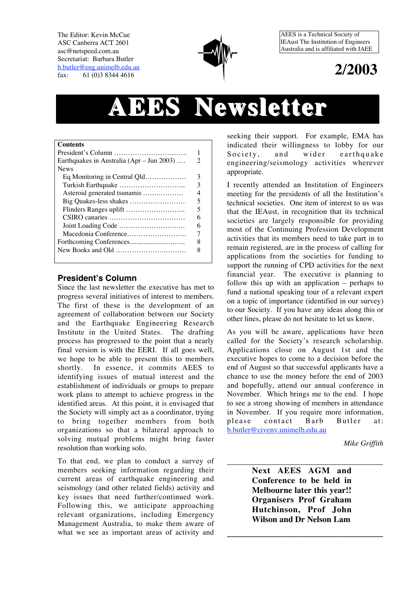The Editor: Kevin McCue ASC Canberra ACT 2601 asc@netspeed.com.au Secretariat: Barbara Butler b.butler@eng.unimelb.edu.au fax: 61 (0)3 8344 4616



AEES is a Technical Society of IEAust The Institution of Engineers Australia and is affiliated with IAEE

## **2/2003**

# **AEES Newsletter Newsletter**

| <b>Contents</b>                           |   |
|-------------------------------------------|---|
|                                           |   |
| Earthquakes in Australia (Apr – Jun 2003) | 2 |
| <b>News</b>                               |   |
| Eq Monitoring in Central Qld              | 3 |
|                                           | 3 |
| Asteroid generated tsunamis               | 4 |
| Big Quakes-less shakes                    | 5 |
|                                           | 5 |
|                                           | 6 |
|                                           | 6 |
|                                           |   |
|                                           | 8 |
|                                           | 8 |
|                                           |   |

#### **President's Column**

Since the last newsletter the executive has met to progress several initiatives of interest to members. The first of these is the development of an agreement of collaboration between our Society and the Earthquake Engineering Research Institute in the United States. The drafting process has progressed to the point that a nearly final version is with the EERI. If all goes well, we hope to be able to present this to members shortly. In essence, it commits AEES to identifying issues of mutual interest and the establishment of individuals or groups to prepare work plans to attempt to achieve progress in the identified areas. At this point, it is envisaged that the Society will simply act as a coordinator, trying to bring together members from both organizations so that a bilateral approach to solving mutual problems might bring faster resolution than working solo.

To that end, we plan to conduct a survey of members seeking information regarding their current areas of earthquake engineering and seismology (and other related fields) activity and key issues that need further/continued work. Following this, we anticipate approaching relevant organizations, including Emergency Management Australia, to make them aware of what we see as important areas of activity and

seeking their support. For example, EMA has indicated their willingness to lobby for our Society, and wider earthquake engineering/seismology activities wherever appropriate.

I recently attended an Institution of Engineers meeting for the presidents of all the Institution's technical societies. One item of interest to us was that the IEAust, in recognition that its technical societies are largely responsible for providing most of the Continuing Profession Development activities that its members need to take part in to remain registered, are in the process of calling for applications from the societies for funding to support the running of CPD activities for the next financial year. The executive is planning to follow this up with an application – perhaps to fund a national speaking tour of a relevant expert on a topic of importance (identified in our survey) to our Society. If you have any ideas along this or other lines, please do not hesitate to let us know.

As you will be aware, applications have been called for the Society's research scholarship. Applications close on August 1st and the executive hopes to come to a decision before the end of August so that successful applicants have a chance to use the money before the end of 2003 and hopefully, attend our annual conference in November. Which brings me to the end. I hope to see a strong showing of members in attendance in November. If you require more information, please contact Barb Butler at: b.butler@civenv.unimelb.edu.au

*Mike Griffith*

**Next AEES AGM and Conference to be held in Melbourne later this year!! Organisers Prof Graham Hutchinson, Prof John Wilson and Dr Nelson Lam**

**\_\_\_\_\_\_\_\_\_\_\_\_\_\_\_\_\_\_\_\_\_\_\_\_\_\_\_\_\_\_\_\_\_\_\_\_\_**

\_\_\_\_\_\_\_\_\_\_\_\_\_\_\_\_\_\_\_\_\_\_\_\_\_\_\_\_\_\_\_\_\_\_\_\_\_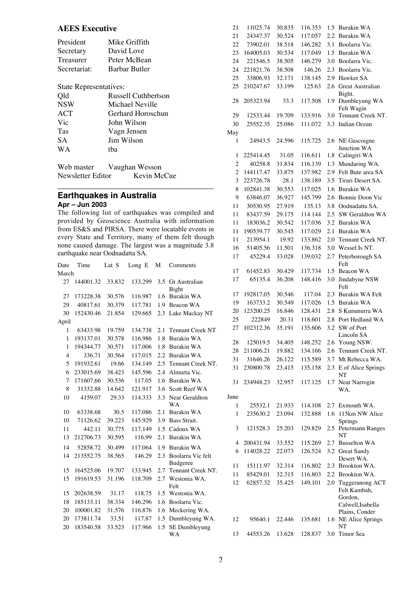#### **AEES Executive**

| President    | Mike Griffith        |
|--------------|----------------------|
| Secretary    | David Love           |
| Treasurer    | Peter McBean         |
| Secretariat: | <b>Barbar Butler</b> |

#### State Representatives:

| Qld        | Russell Cuthbertson |
|------------|---------------------|
| <b>NSW</b> | Michael Neville     |
| ACT        | Gerhard Horoschun   |
| Vic        | John Wilson         |
| Tas        | Vagn Jensen         |
| SA.        | Jim Wilson          |
| W A        | tha                 |
|            |                     |

| Web master        | Vaughan Wesson |  |
|-------------------|----------------|--|
| Newsletter Editor | Kevin McCue    |  |
|                   |                |  |

### **Earthquakes in Australia**

**Apr – Jun 2003**

The following list of earthquakes was compiled and provided by Geoscience Australia with information from ES&S and PIRSA. There were locatable events in every State and Territory, many of them felt though none caused damage. The largest was a magnitude 3.8 earthquake near Oodnadatta SA.

| Date           | Time      | Lat S  | Long<br>Е | М   | Comments                      |
|----------------|-----------|--------|-----------|-----|-------------------------------|
| March          |           |        |           |     |                               |
| 27             | 144001.32 | 33.832 | 133.299   | 3.5 | <b>Gt</b> Australian<br>Bight |
| 27             | 173228.38 | 30.576 | 116.987   | 1.6 | <b>Burakin WA</b>             |
| 29             | 40817.61  | 30.379 | 117.781   | 1.9 | Beacon WA                     |
| 30             | 152430.46 | 21.854 | 129.665   | 2.3 | Lake Mackay NT                |
| April          |           |        |           |     |                               |
| 1              | 63433.98  | 19.759 | 134.738   | 2.1 | <b>Tennant Creek NT</b>       |
| 1              | 193137.01 | 30.578 | 116.986   | 1.8 | <b>Burakin WA</b>             |
| 1              | 194344.77 | 30.571 | 117.006   | 1.8 | <b>Burakin WA</b>             |
| $\overline{4}$ | 336.71    | 30.564 | 117.015   | 2.2 | Burakin WA                    |
| 5              | 191932.61 | 19.66  | 134.149   | 2.5 | Tennant Creek NT.             |
| 6              | 233015.69 | 38.423 | 145.596   | 2.4 | Almurta Vic.                  |
| 7              | 171607.66 | 30.536 | 117.05    | 1.6 | <b>Burakin WA</b>             |
| 8              | 31332.88  | 14.642 | 121.917   | 3.6 | Scott Reef WA                 |
| 10             | 4159.07   | 29.33  | 114.333   | 3.3 | Near Geraldton<br>WA          |
| 10             | 63338.68  | 30.5   | 117.086   | 2.1 | <b>Burakin WA</b>             |
| 10             | 71126.62  | 39.223 | 145.929   | 3.9 | Bass Strait.                  |
| 11             | 442.11    | 30.775 | 117.149   | 1.5 | Cadoux WA                     |
| 13             | 212706.73 | 30.595 | 116.99    | 2.1 | Burakin WA                    |
| 14             | 52858.72  | 30.499 | 117.064   | 1.9 | <b>Burakin WA</b>             |
| 14             | 213552.75 | 38.565 | 146.29    | 2.3 | Boolarra Vic felt             |
|                |           |        |           |     | <b>Budgeree</b>               |
| 15             | 164525.06 | 19.707 | 133.945   | 2.7 | Tennant Creek NT.             |
| 15             | 191619.53 | 31.196 | 118.709   | 2.7 | Westonia WA.<br>Felt          |
| 15             | 202638.59 | 31.17  | 118.75    | 1.5 | Westonia WA.                  |
| 18             | 185133.11 | 38.334 | 146.296   | 1.6 | Boolarra Vic.                 |
| 20             | 100001.82 | 31.576 | 116.876   | 1.6 | Meckering WA.                 |
| 20             | 173811.74 | 33.51  | 117.87    | 1.5 | Dumbleyung WA.                |
| 20             | 183540.58 | 33.523 | 117.966   | 1.5 | SE Dumbleyung                 |
|                |           |        |           |     | WA                            |

| 21             | 11025.74  | 30.835 | 116.353 | 1.5 | <b>Burakin WA</b>            |
|----------------|-----------|--------|---------|-----|------------------------------|
| 21             | 24347.37  | 30.524 | 117.057 | 2.2 | Burakin WA                   |
| 22             | 73902.01  | 38.518 | 146.282 | 3.1 | Boolarra Vic.                |
| 23             | 164005.03 | 30.534 | 117.049 | 1.5 | <b>Burakin WA</b>            |
| 24             | 221546.5  | 38.505 | 146.279 | 3.0 | Boolarra Vic.                |
| 24             | 221821.76 | 38.508 | 146.26  | 2.3 | Boolarra Vic.                |
| 25             | 33806.93  | 32.171 | 138.145 | 2.9 | Hawker SA                    |
| 25             | 210247.67 | 33.199 | 125.63  | 2.6 | Great Australian             |
|                |           |        |         |     | Bight.                       |
| 28             | 205323.94 | 33.3   | 117.508 | 1.9 | Dumbleyung WA                |
|                |           |        |         |     | Felt Wagin                   |
| 29             | 12533.44  | 19.709 | 133.916 | 3.0 | Tennant Creek NT.            |
| 30             | 25552.35  | 25.086 | 111.072 | 3.3 | <b>Indian Ocean</b>          |
| May            |           |        |         |     |                              |
| 1              | 24943.5   | 24.596 | 115.725 |     | 2.6 NE Gascoigne             |
|                |           |        |         |     | Junction WA                  |
| 1              | 225414.45 | 31.05  | 116.611 | 1.8 | Calingiri WA                 |
| $\overline{c}$ | 40258.8   | 31.834 | 116.139 | 1.3 | Mundaring WA.                |
| $\overline{c}$ | 144117.47 | 33.875 | 137.982 | 2.9 | Felt Bute area SA            |
| 3              | 223726.78 | 28.1   | 138.189 | 3.5 | Tirari Desert SA.            |
| 8              | 102841.38 | 30.553 | 117.025 | 1.6 | <b>Burakin WA</b>            |
| 9              | 63846.07  | 36.927 | 145.799 | 2.6 | Bonnie Doon Vic              |
| 11             | 30530.95  | 27.919 | 135.13  | 3.8 | Oodnadatta SA.               |
| 11             | 83437.59  | 29.175 | 114.144 | 2.5 | SW Geraldton WA              |
| 11             | 183036.2  | 30.542 | 117.036 | 3.2 | <b>Burakin WA</b>            |
| 11             | 190539.77 | 30.545 | 117.029 | 2.1 | Burakin WA                   |
| 11             | 213954.1  | 19.92  | 133.862 | 2.0 | Tennant Creek NT.            |
| 16             | 51405.56  | 11.501 | 136.318 | 3.0 | Wessel Is NT.                |
| 17             | 45229.4   | 33.028 | 139.032 | 2.7 | Peterborough SA              |
|                |           |        |         |     | Felt                         |
| 17             | 61452.83  | 30.429 | 117.734 | 1.5 | Beacon WA                    |
| 17             | 65135.4   | 36.208 | 148.416 | 3.0 | Jindabyne NSW                |
|                |           |        |         |     | Felt                         |
| 17             | 192817.05 | 30.546 | 117.04  | 2.3 | Burakin WA Felt              |
| 19             | 163733.2  | 30.549 | 117.026 | 1.5 | Burakin WA                   |
| 20             | 123200.25 | 16.846 | 128.431 | 2.8 | S Kununurra WA               |
| 25             | 222849    | 20.31  | 118.601 | 2.8 | Port Hedland WA              |
| 27             | 102312.36 | 35.191 | 135.606 | 3.2 | SW of Port                   |
|                |           |        |         |     | Lincoln SA                   |
| 28             | 125019.5  | 34.405 | 148.252 |     | 2.6 Young NSW.               |
| 28             | 211006.21 | 19.882 | 134.166 | 2.6 | Tennant Creek NT.            |
| 31             | 31646.26  | 26.122 | 115.589 |     | 3.7 Mt Rebecca WA.           |
| 31             | 230800.78 | 23.415 | 135.158 |     | 2.3 E of Alice Springs       |
| 31             | 234948.23 | 32.957 | 117.125 | 1.7 | NT<br>Near Narrogin          |
|                |           |        |         |     | WA.                          |
| June           |           |        |         |     |                              |
| 1              | 25532.1   | 21.933 | 114.108 |     | 2.7 Exmouth WA.              |
| 1              | 235630.2  | 23.094 | 132.888 | 1.6 | 115km NW Alice               |
|                |           |        |         |     | Springs                      |
| 3              | 121528.3  | 25.203 | 129.829 | 2.5 | Petermann Ranges             |
|                |           |        |         |     | NT                           |
| 4              | 200431.94 | 33.552 | 115.269 |     | 2.7 Busselton WA             |
| 6              | 114028.22 | 22.073 | 126.524 |     | 3.2 Great Sandy              |
|                |           |        |         |     | Desert WA.                   |
| 11             | 15111.97  | 32.314 | 116.802 |     | 2.3 Brookton WA.             |
| 11             | 85429.01  | 32.315 | 116.803 |     | 2.2 Brookton WA.             |
| 12             | 62857.32  | 35.425 | 149.101 | 2.0 | Tuggeranong ACT              |
|                |           |        |         |     | Felt Kambah,                 |
|                |           |        |         |     | Gordon,<br>Calwell, Isabella |
|                |           |        |         |     | Plains, Conder               |
| 12             | 95640.1   | 22.446 | 135.681 | 1.6 | NE Alice Springs             |
|                |           |        |         |     | NT                           |
| 13             | 44553.26  | 13.628 | 128.837 |     | 3.0 Timor Sea                |
|                |           |        |         |     |                              |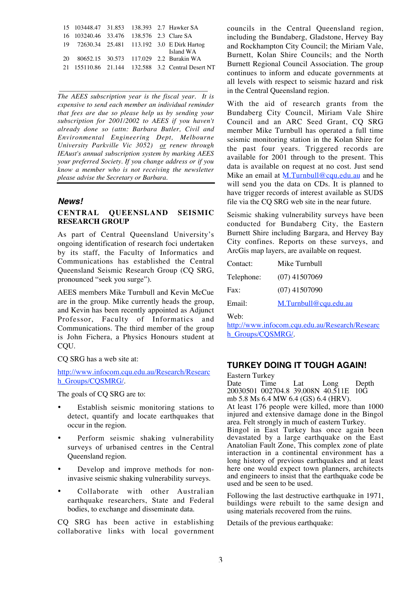|                                          |  | 15 103448.47 31.853 138.393 2.7 Hawker SA         |
|------------------------------------------|--|---------------------------------------------------|
| 16 103240.46 33.476 138.576 2.3 Clare SA |  |                                                   |
|                                          |  | 19 72630.34 25.481 113.192 3.0 E Dirk Hartog      |
|                                          |  | Island WA                                         |
|                                          |  | 20 80652.15 30.573 117.029 2.2 Burakin WA         |
|                                          |  | 21 155110.86 21.144 132.588 3.2 Central Desert NT |
|                                          |  |                                                   |

*The AEES subscription year is the fiscal year. It is expensive to send each member an individual reminder that fees are due so please help us by sending your subscription for 2001/2002 to AEES if you haven't already done so (attn: Barbara Butler, Civil and Environmental Engineering Dept, Melbourne University Parkville Vic 3052) or renew through IEAust's annual subscription system by marking AEES your preferred Society. If you change address or if you know a member who is not receiving the newsletter please advise the Secretary or Barbara.*

\_\_\_\_\_\_\_\_\_\_\_\_\_\_\_\_\_\_\_\_\_\_\_\_\_\_\_\_\_\_\_\_\_\_\_\_\_\_\_\_\_\_\_

#### **News!**

#### **CENTRAL QUEENSLAND SEISMIC RESEARCH GROUP**

As part of Central Queensland University's ongoing identification of research foci undertaken by its staff, the Faculty of Informatics and Communications has established the Central Queensland Seismic Research Group (CQ SRG, pronounced "seek you surge").

AEES members Mike Turnbull and Kevin McCue are in the group. Mike currently heads the group, and Kevin has been recently appointed as Adjunct Professor, Faculty of Informatics and Communications. The third member of the group is John Fichera, a Physics Honours student at CQU.

CQ SRG has a web site at:

http://www.infocom.cqu.edu.au/Research/Researc h\_Groups/COSMRG/.

The goals of CQ SRG are to:

- Establish seismic monitoring stations to detect, quantify and locate earthquakes that occur in the region.
- Perform seismic shaking vulnerability surveys of urbanised centres in the Central Queensland region.
- Develop and improve methods for noninvasive seismic shaking vulnerability surveys.
- Collaborate with other Australian earthquake researchers, State and Federal bodies, to exchange and disseminate data.

CQ SRG has been active in establishing collaborative links with local government councils in the Central Queensland region, including the Bundaberg, Gladstone, Hervey Bay and Rockhampton City Council; the Miriam Vale, Burnett, Kolan Shire Councils; and the North Burnett Regional Council Association. The group continues to inform and educate governments at all levels with respect to seismic hazard and risk in the Central Queensland region.

With the aid of research grants from the Bundaberg City Council, Miriam Vale Shire Council and an ARC Seed Grant, CQ SRG member Mike Turnbull has operated a full time seismic monitoring station in the Kolan Shire for the past four years. Triggered records are available for 2001 through to the present. This data is available on request at no cost. Just send Mike an email at M.Turnbull@cqu.edu.au and he will send you the data on CDs. It is planned to have trigger records of interest available as SUDS file via the CQ SRG web site in the near future.

Seismic shaking vulnerability surveys have been conducted for Bundaberg City, the Eastern Burnett Shire including Bargara, and Hervey Bay City confines. Reports on these surveys, and ArcGis map layers, are available on request.

| Contact:   | Mike Turnbull         |
|------------|-----------------------|
| Telephone: | $(07)$ 41507069       |
| Fax:       | $(07)$ 41507090       |
| Email:     | M.Turnbull@cqu.edu.au |
|            |                       |

Web:

http://www.infocom.cqu.edu.au/Research/Researc h\_Groups/CQSMRG/.

#### **TURKEY DOING IT TOUGH AGAIN!**

Eastern Turkey<br>Date Time Date Time Lat Long Depth 20030501 002704.8 39.008N 40.511E 10G mb 5.8 Ms 6.4 MW 6.4 (GS) 6.4 (HRV). At least 176 people were killed, more than 1000 injured and extensive damage done in the Bingol area. Felt strongly in much of eastern Turkey. Bingol in East Turkey has once again been devastated by a large earthquake on the East Anatolian Fault Zone, This complex zone of plate interaction in a continental environment has a long history of previous earthquakes and at least here one would expect town planners, architects and engineers to insist that the earthquake code be used and be seen to be used.

Following the last destructive earthquake in 1971, buildings were rebuilt to the same design and using materials recovered from the ruins.

Details of the previous earthquake: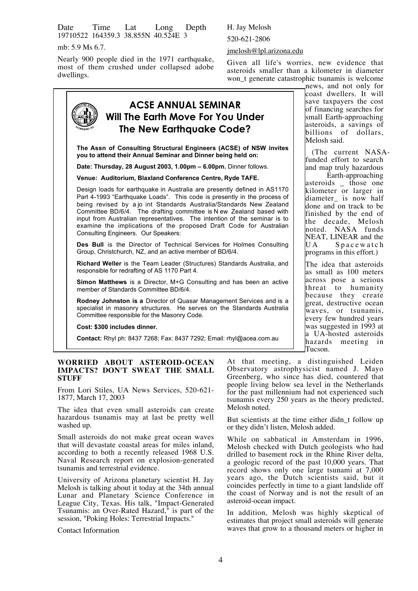Date Time Lat Long Depth 19710522 164359.3 38.855N 40.524E 3

mb: 5.9 Ms 6.7.

Nearly 900 people died in the 1971 earthquake, most of them crushed under collapsed adobe dwellings.

#### H. Jay Melosh

520-621-2806

jmelosh@lpl.arizona.edu

Given all life's worries, new evidence that asteroids smaller than a kilometer in diameter won\_t generate catastrophic tsunamis is welcome news, and not only for

> coast dwellers. It will save taxpayers the cost of financing searches for small Earth-approaching asteroids, a savings of billions of dollars,

(The current NASAfunded effort to search and map truly hazardous Earth-approaching asteroids those one kilometer or larger in diameter is now half done and on track to be finished by the end of the decade, Melosh  $\overline{\text{model}}$ . NASA funds NEAT, LINEAR and the  $\overline{I}$   $I$   $A$   $S$   $p$   $a$   $c$   $e$   $w$   $a$   $t$   $c$   $h$ 

Spacewatch

programs in this effort.) The idea that asteroids as small as 100 meters across pose a serious threat to humanity because they create great, destructive ocean waves, or tsunamis, every few hundred years was suggested in 1993 at a UA-hosted asteroids hazards meeting in

Melosh said.

#### **ACSE ANNUAL SEMINAR Will The Earth Move For You Under The New Earthquake Code? The Assn of Consulting Structural Engineers (ACSE) of NSW invites you to attend their Annual Seminar and Dinner being held on: Date: Thursday, 28 August 2003, 1.00pm – 6.00pm.** Dinner follows. **Venue: Auditorium, Blaxland Conference Centre, Ryde TAFE.** Design loads for earthquake in Australia are presently defined in AS1170 Part 4-1993 "Earthquake Loads". This code is presently in the process of being revised by a jo int Standards Australia/Standards New Zealand Committee BD/6/4. The drafting committee is N ew Zealand based with input from Australian representatives. The intention of the seminar is to examine the implications of the proposed Draft Code for Australian Consulting Engineers. Our Speakers: **Des Bull** is the Director of Technical Services for Holmes Consulting Group, Christchurch, NZ, and an active member of BD/6/4. **Richard Weller** is the Team Leader (Structures) Standards Australia, and responsible for redrafting of AS 1170 Part 4. **Simon Matthews** is a Director, M+G Consulting and has been an active member of Standards Committee BD/6/4. **Rodney Johnston is a** Director of Quasar Management Services and is a specialist in masonry structures. He serves on the Standards Australia Committee responsible for the Masonry Code. **Cost: \$300 includes dinner. Contact:** Rhyl ph: 8437 7268; Fax: 8437 7292; Email: rhyl@acea.com.au

#### **WORRIED ABOUT ASTEROID-OCEAN IMPACTS? DON'T SWEAT THE SMALL STUFF**

From Lori Stiles, UA News Services, 520-621- 1877, March 17, 2003

The idea that even small asteroids can create hazardous tsunamis may at last be pretty well washed up.

Small asteroids do not make great ocean waves that will devastate coastal areas for miles inland, according to both a recently released 1968 U.S. Naval Research report on explosion-generated tsunamis and terrestrial evidence.

University of Arizona planetary scientist H. Jay Melosh is talking about it today at the 34th annual Lunar and Planetary Science Conference in League City, Texas. His talk, "Impact-Generated Tsunamis: an Over-Rated Hazard," is part of the session, "Poking Holes: Terrestrial Impacts."

Contact Information

At that meeting, a distinguished Leiden Observatory astrophysicist named J. Mayo Greenberg, who since has died, countered that people living below sea level in the Netherlands for the past millennium had not experienced such tsunamis every 250 years as the theory predicted, Melosh noted.

Tucson.

But scientists at the time either didn t follow up or they didn't listen, Melosh added.

While on sabbatical in Amsterdam in 1996, Melosh checked with Dutch geologists who had drilled to basement rock in the Rhine River delta, a geologic record of the past 10,000 years. That record shows only one large tsunami at 7,000 years ago, the Dutch scientists said, but it coincides perfectly in time to a giant landslide off the coast of Norway and is not the result of an asteroid-ocean impact.

In addition, Melosh was highly skeptical of estimates that project small asteroids will generate waves that grow to a thousand meters or higher in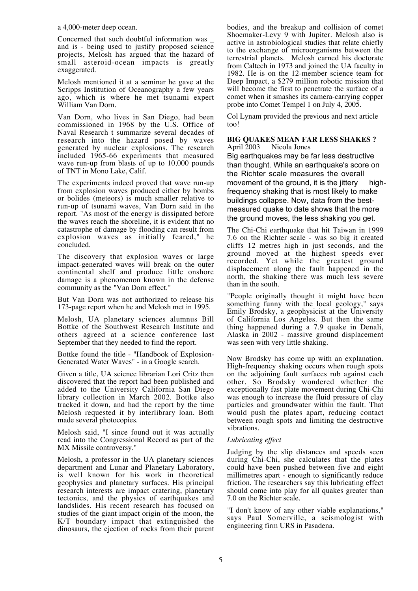a 4,000-meter deep ocean.

Concerned that such doubtful information was \_ and is - being used to justify proposed science projects, Melosh has argued that the hazard of small asteroid-ocean impacts is greatly exaggerated.

Melosh mentioned it at a seminar he gave at the Scripps Institution of Oceanography a few years ago, which is where he met tsunami expert William Van Dorn.

Van Dorn, who lives in San Diego, had been commissioned in 1968 by the U.S. Office of Naval Research t summarize several decades of research into the hazard posed by waves generated by nuclear explosions. The research included 1965-66 experiments that measured wave run-up from blasts of up to 10,000 pounds of TNT in Mono Lake, Calif.

The experiments indeed proved that wave run-up from explosion waves produced either by bombs or bolides (meteors) is much smaller relative to run-up of tsunami waves, Van Dorn said in the report. "As most of the energy is dissipated before the waves reach the shoreline, it is evident that no catastrophe of damage by flooding can result from explosion waves as initially feared," he concluded.

The discovery that explosion waves or large impact-generated waves will break on the outer continental shelf and produce little onshore damage is a phenomenon known in the defense community as the "Van Dorn effect."

But Van Dorn was not authorized to release his 173-page report when he and Melosh met in 1995.

Melosh, UA planetary sciences alumnus Bill Bottke of the Southwest Research Institute and others agreed at a science conference last September that they needed to find the report.

Bottke found the title - "Handbook of Explosion-Generated Water Waves" - in a Google search.

Given a title, UA science librarian Lori Critz then discovered that the report had been published and added to the University California San Diego library collection in March 2002. Bottke also tracked it down, and had the report by the time Melosh requested it by interlibrary loan. Both made several photocopies.

Melosh said, "I since found out it was actually read into the Congressional Record as part of the MX Missile controversy."

Melosh, a professor in the UA planetary sciences department and Lunar and Planetary Laboratory, is well known for his work in theoretical geophysics and planetary surfaces. His principal research interests are impact cratering, planetary tectonics, and the physics of earthquakes and landslides. His recent research has focused on studies of the giant impact origin of the moon, the K/T boundary impact that extinguished the dinosaurs, the ejection of rocks from their parent bodies, and the breakup and collision of comet Shoemaker-Levy 9 with Jupiter. Melosh also is active in astrobiological studies that relate chiefly to the exchange of microorganisms between the terrestrial planets. Melosh earned his doctorate from Caltech in 1973 and joined the UA faculty in 1982. He is on the 12-member science team for Deep Impact, a \$279 million robotic mission that will become the first to penetrate the surface of a comet when it smashes its camera-carrying copper probe into Comet Tempel 1 on July 4, 2005.

Col Lynam provided the previous and next article too!

#### **BIG QUAKES MEAN FAR LESS SHAKES ?** April 2003 Nicola Jones

Big earthquakes may be far less destructive than thought. While an earthquake's score on the Richter scale measures the overall movement of the ground, it is the jittery highfrequency shaking that is most likely to make buildings collapse. Now, data from the bestmeasured quake to date shows that the more the ground moves, the less shaking you get.

The Chi-Chi earthquake that hit Taiwan in 1999 7.6 on the Richter scale - was so big it created cliffs 12 metres high in just seconds, and the ground moved at the highest speeds ever recorded. Yet while the greatest ground displacement along the fault happened in the north, the shaking there was much less severe than in the south.

"People originally thought it might have been something funny with the local geology," says Emily Brodsky, a geophysicist at the University of California Los Angeles. But then the same thing happened during a 7.9 quake in Denali, Alaska in 2002 - massive ground displacement was seen with very little shaking.

Now Brodsky has come up with an explanation. High-frequency shaking occurs when rough spots on the adjoining fault surfaces rub against each other. So Brodsky wondered whether the exceptionally fast plate movement during Chi-Chi was enough to increase the fluid pressure of clay particles and groundwater within the fault. That would push the plates apart, reducing contact between rough spots and limiting the destructive vibrations.

#### *Lubricating effect*

Judging by the slip distances and speeds seen during Chi-Chi, she calculates that the plates could have been pushed between five and eight millimetres apart - enough to significantly reduce friction. The researchers say this lubricating effect should come into play for all quakes greater than 7.0 on the Richter scale.

"I don't know of any other viable explanations," says Paul Somerville, a seismologist with engineering firm URS in Pasadena.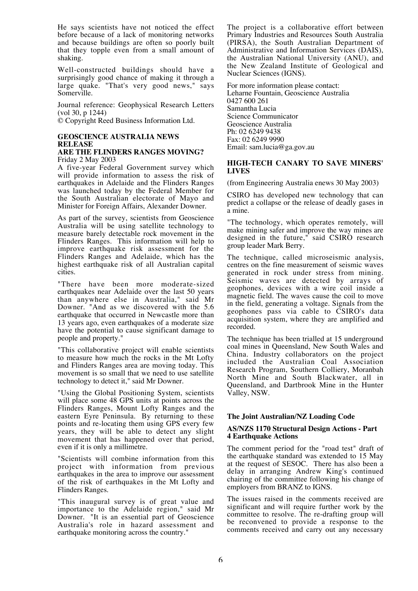He says scientists have not noticed the effect before because of a lack of monitoring networks and because buildings are often so poorly built that they topple even from a small amount of shaking.

Well-constructed buildings should have a surprisingly good chance of making it through a large quake. "That's very good news," says Somerville.

Journal reference: Geophysical Research Letters (vol 30, p 1244)

© Copyright Reed Business Information Ltd.

#### **GEOSCIENCE AUSTRALIA NEWS RELEASE**

#### **ARE THE FLINDERS RANGES MOVING?** Friday 2 May 2003

A five-year Federal Government survey which will provide information to assess the risk of earthquakes in Adelaide and the Flinders Ranges was launched today by the Federal Member for the South Australian electorate of Mayo and Minister for Foreign Affairs, Alexander Downer.

As part of the survey, scientists from Geoscience Australia will be using satellite technology to measure barely detectable rock movement in the Flinders Ranges. This information will help to improve earthquake risk assessment for the Flinders Ranges and Adelaide, which has the highest earthquake risk of all Australian capital cities.

"There have been more moderate-sized earthquakes near Adelaide over the last 50 years than anywhere else in Australia," said Mr Downer. "And as we discovered with the 5.6 earthquake that occurred in Newcastle more than 13 years ago, even earthquakes of a moderate size have the potential to cause significant damage to people and property."

"This collaborative project will enable scientists to measure how much the rocks in the Mt Lofty and Flinders Ranges area are moving today. This movement is so small that we need to use satellite technology to detect it," said Mr Downer.

"Using the Global Positioning System, scientists will place some 48 GPS units at points across the Flinders Ranges, Mount Lofty Ranges and the eastern Eyre Peninsula. By returning to these points and re-locating them using GPS every few years, they will be able to detect any slight movement that has happened over that period, even if it is only a millimetre.

"Scientists will combine information from this project with information from previous earthquakes in the area to improve our assessment of the risk of earthquakes in the Mt Lofty and Flinders Ranges.

"This inaugural survey is of great value and importance to the Adelaide region," said Mr Downer. "It is an essential part of Geoscience Australia's role in hazard assessment and earthquake monitoring across the country."

The project is a collaborative effort between Primary Industries and Resources South Australia (PIRSA), the South Australian Department of Administrative and Information Services (DAIS), the Australian National University (ANU), and the New Zealand Institute of Geological and Nuclear Sciences (IGNS).

For more information please contact: Leharne Fountain, Geoscience Australia 0427 600 261 Samantha Lucia Science Communicator Geoscience Australia Ph: 02 6249 9438 Fax: 02 6249 9990 Email: sam.lucia@ga.gov.au

#### **HIGH-TECH CANARY TO SAVE MINERS' LIVES**

(from Engineering Australia enews 30 May 2003)

CSIRO has developed new technology that can predict a collapse or the release of deadly gases in a mine.

"The technology, which operates remotely, will make mining safer and improve the way mines are designed in the future," said CSIRO research group leader Mark Berry.

The technique, called microseismic analysis, centres on the fine measurement of seismic waves generated in rock under stress from mining. Seismic waves are detected by arrays of geophones, devices with a wire coil inside a magnetic field. The waves cause the coil to move in the field, generating a voltage. Signals from the geophones pass via cable to CSIRO's data acquisition system, where they are amplified and recorded.

The technique has been trialled at 15 underground coal mines in Queensland, New South Wales and China. Industry collaborators on the project included the Australian Coal Association Research Program, Southern Colliery, Moranbah North Mine and South Blackwater, all in Queensland, and Dartbrook Mine in the Hunter Valley, NSW.

#### **The Joint Australian/NZ Loading Code**

#### **AS/NZS 1170 Structural Design Actions - Part 4 Earthquake Actions**

The comment period for the "road test" draft of the earthquake standard was extended to 15 May at the request of SESOC. There has also been a delay in arranging Andrew King's continued chairing of the committee following his change of employers from BRANZ to IGNS.

The issues raised in the comments received are significant and will require further work by the committee to resolve. The re-drafting group will be reconvened to provide a response to the comments received and carry out any necessary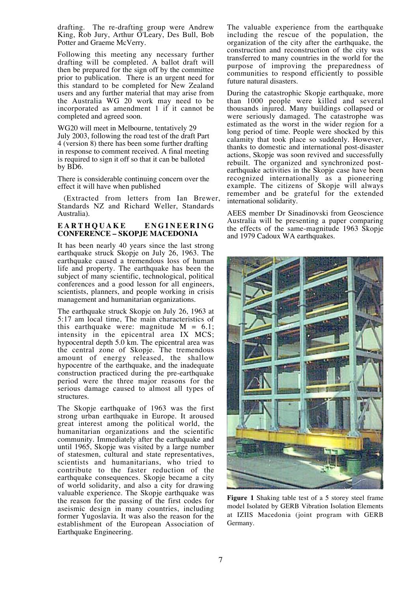drafting. The re-drafting group were Andrew King, Rob Jury, Arthur O'Leary, Des Bull, Bob Potter and Graeme McVerry.

Following this meeting any necessary further drafting will be completed. A ballot draft will then be prepared for the sign off by the committee prior to publication. There is an urgent need for this standard to be completed for New Zealand users and any further material that may arise from the Australia WG 20 work may need to be incorporated as amendment 1 if it cannot be completed and agreed soon.

WG20 will meet in Melbourne, tentatively 29 July 2003, following the road test of the draft Part 4 (version 8) there has been some further drafting in response to comment received. A final meeting is required to sign it off so that it can be balloted by BD6.

There is considerable continuing concern over the effect it will have when published

(Extracted from letters from Ian Brewer, Standards NZ and Richard Weller, Standards Australia).

#### **EARTHQUAKE ENGINEERING CONFERENCE – SKOPJE MACEDONIA**

It has been nearly 40 years since the last strong earthquake struck Skopje on July 26, 1963. The earthquake caused a tremendous loss of human life and property. The earthquake has been the subject of many scientific, technological, political conferences and a good lesson for all engineers, scientists, planners, and people working in crisis management and humanitarian organizations.

The earthquake struck Skopje on July 26, 1963 at 5:17 am local time, The main characteristics of this earthquake were: magnitude  $M = 6.1$ ; intensity in the epicentral area IX MCS; hypocentral depth 5.0 km. The epicentral area was the central zone of Skopje. The tremendous amount of energy released, the shallow hypocentre of the earthquake, and the inadequate construction practiced during the pre-earthquake period were the three major reasons for the serious damage caused to almost all types of structures.

The Skopje earthquake of 1963 was the first strong urban earthquake in Europe. It aroused great interest among the political world, the humanitarian organizations and the scientific community. Immediately after the earthquake and until 1965, Skopje was visited by a large number of statesmen, cultural and state representatives, scientists and humanitarians, who tried to contribute to the faster reduction of the earthquake consequences. Skopje became a city of world solidarity, and also a city for drawing valuable experience. The Skopje earthquake was the reason for the passing of the first codes for aseismic design in many countries, including former Yugoslavia. It was also the reason for the establishment of the European Association of Earthquake Engineering.

The valuable experience from the earthquake including the rescue of the population, the organization of the city after the earthquake, the construction and reconstruction of the city was transferred to many countries in the world for the purpose of improving the preparedness of communities to respond efficiently to possible future natural disasters.

During the catastrophic Skopje earthquake, more than 1000 people were killed and several thousands injured. Many buildings collapsed or were seriously damaged. The catastrophe was estimated as the worst in the wider region for a long period of time. People were shocked by this calamity that took place so suddenly. However, thanks to domestic and international post-disaster actions, Skopje was soon revived and successfully rebuilt. The organized and synchronized postearthquake activities in the Skopje case have been recognized internationally as a pioneering example. The citizens of Skopje will always remember and be grateful for the extended international solidarity.

AEES member Dr Sinadinovski from Geoscience Australia will be presenting a paper comparing the effects of the same-magnitude 1963 Skopje and 1979 Cadoux WA earthquakes.



**Figure 1** Shaking table test of a 5 storey steel frame model Isolated by GERB Vibration Isolation Elements at IZIIS Macedonia (joint program with GERB Germany.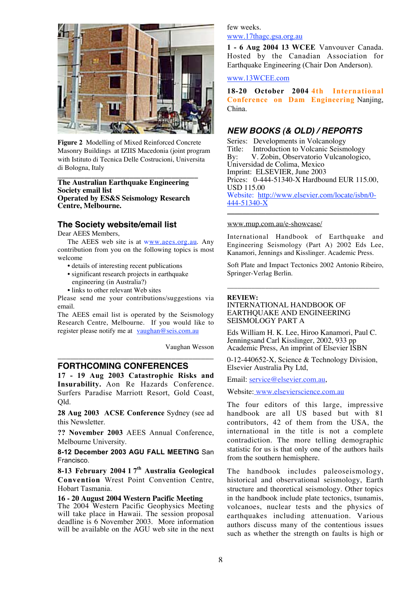

**Figure 2** Modelling of Mixed Reinforced Concrete Masonry Buildings at IZIIS Macedonia (joint program with Istituto di Tecnica Delle Costrucioni, Universita di Bologna, Italy

#### **\_\_\_\_\_\_\_\_\_\_\_\_\_\_\_\_\_\_\_\_\_\_\_\_\_\_\_\_\_\_\_\_\_\_\_\_\_ The Australian Earthquake Engineering Society email list Operated by ES&S Seismology Research Centre, Melbourne.**

#### **The Society website/email list**

Dear AEES Members,

The AEES web site is at www.aees.org.au. Any contribution from you on the following topics is most welcome

- details of interesting recent publications
- significant research projects in earthquake engineering (in Australia?)
- links to other relevant Web sites

Please send me your contributions/suggestions via email.

The AEES email list is operated by the Seismology Research Centre, Melbourne. If you would like to register please notify me at vaughan@seis.com.au

\_\_\_\_\_\_\_\_\_\_\_\_\_\_\_\_\_\_\_\_\_\_\_\_\_\_\_\_\_\_\_\_\_\_\_\_\_

Vaughan Wesson

#### **FORTHCOMING CONFERENCES**

17 - 19 Aug 2003 Catastrophic Risks and Insurability. Aon Re Hazards Conference. Surfers Paradise Marriott Resort, Gold Coast, Qld.

28 Aug 2003 ACSE Conference Sydney (see ad this Newsletter.

?? November 2003 AEES Annual Conference, Melbourne University.

**8-12 December 2003 AGU FALL MEETING** San Francisco.

8-13 February 2004 1  $7<sup>th</sup>$  Australia Geological Convention Wrest Point Convention Centre, Hobart Tasmania.

#### **16 - 20 August 2004 Western Pacific Meeting**

The 2004 Western Pacific Geophysics Meeting will take place in Hawaii. The session proposal deadline is 6 November 2003. More information will be available on the AGU web site in the next

#### few weeks. www.17thagc.gsa.org.au

1 - 6 Aug 2004 13 WCEE Vanvouver Canada. Hosted by the Canadian Association for Earthquake Engineering (Chair Don Anderson).

#### www.13WCEE.com

18-20 October 2004 4th International Conference on Dam Engineering Nanjing, China.

#### **NEW BOOKS (& OLD) / REPORTS**

Series: Developments in Volcanology<br>Title: Introduction to Volcanic Seism Title: Introduction to Volcanic Seismology<br>By: V. Zobin, Observatorio Vulcanologico V. Zobin, Observatorio Vulcanologico, Universidad de Colima, Mexico Imprint: ELSEVIER, June 2003 Prices: 0-444-51340-X Hardbound EUR 115.00, USD 115.00 Website: http://www.elsevier.com/locate/isbn/0-  $444 - 51340 - X$ 

 $\frac{1}{2}$  ,  $\frac{1}{2}$  ,  $\frac{1}{2}$  ,  $\frac{1}{2}$  ,  $\frac{1}{2}$  ,  $\frac{1}{2}$  ,  $\frac{1}{2}$  ,  $\frac{1}{2}$  ,  $\frac{1}{2}$  ,  $\frac{1}{2}$  ,  $\frac{1}{2}$  ,  $\frac{1}{2}$  ,  $\frac{1}{2}$  ,  $\frac{1}{2}$  ,  $\frac{1}{2}$  ,  $\frac{1}{2}$  ,  $\frac{1}{2}$  ,  $\frac{1}{2}$  ,  $\frac{1$ 

#### www.mup.com.au/e-showcase/

International Handbook of Earthquake and Engineering Seismology (Part A) 2002 Eds Lee, Kanamori, Jennings and Kisslinger. Academic Press.

Soft Plate and Impact Tectonics 2002 Antonio Ribeiro, Springer-Verlag Berlin.

\_\_\_\_\_\_\_\_\_\_\_\_\_\_\_\_\_\_\_\_\_\_\_\_\_\_\_\_\_\_\_\_\_\_\_\_\_\_\_\_\_\_\_\_

#### **REVIEW:**

#### INTERNATIONAL HANDBOOK OF EARTHQUAKE AND ENGINEERING SEISMOLOGY PART A

Eds William H. K. Lee, Hiroo Kanamori, Paul C. Jenningsand Carl Kisslinger, 2002, 933 pp Academic Press, An imprint of Elsevier ISBN

0-12-440652-X, Science & Technology Division, Elsevier Australia Pty Ltd,

Email: service@elsevier.com.au,

Website: www.elsevierscience.com.au

The four editors of this large, impressive handbook are all US based but with 81 contributors, 42 of them from the USA, the international in the title is not a complete contradiction. The more telling demographic statistic for us is that only one of the authors hails from the southern hemisphere.

The handbook includes paleoseismology, historical and observational seismology, Earth structure and theoretical seismology. Other topics in the handbook include plate tectonics, tsunamis, volcanoes, nuclear tests and the physics of earthquakes including attenuation. Various authors discuss many of the contentious issues such as whether the strength on faults is high or